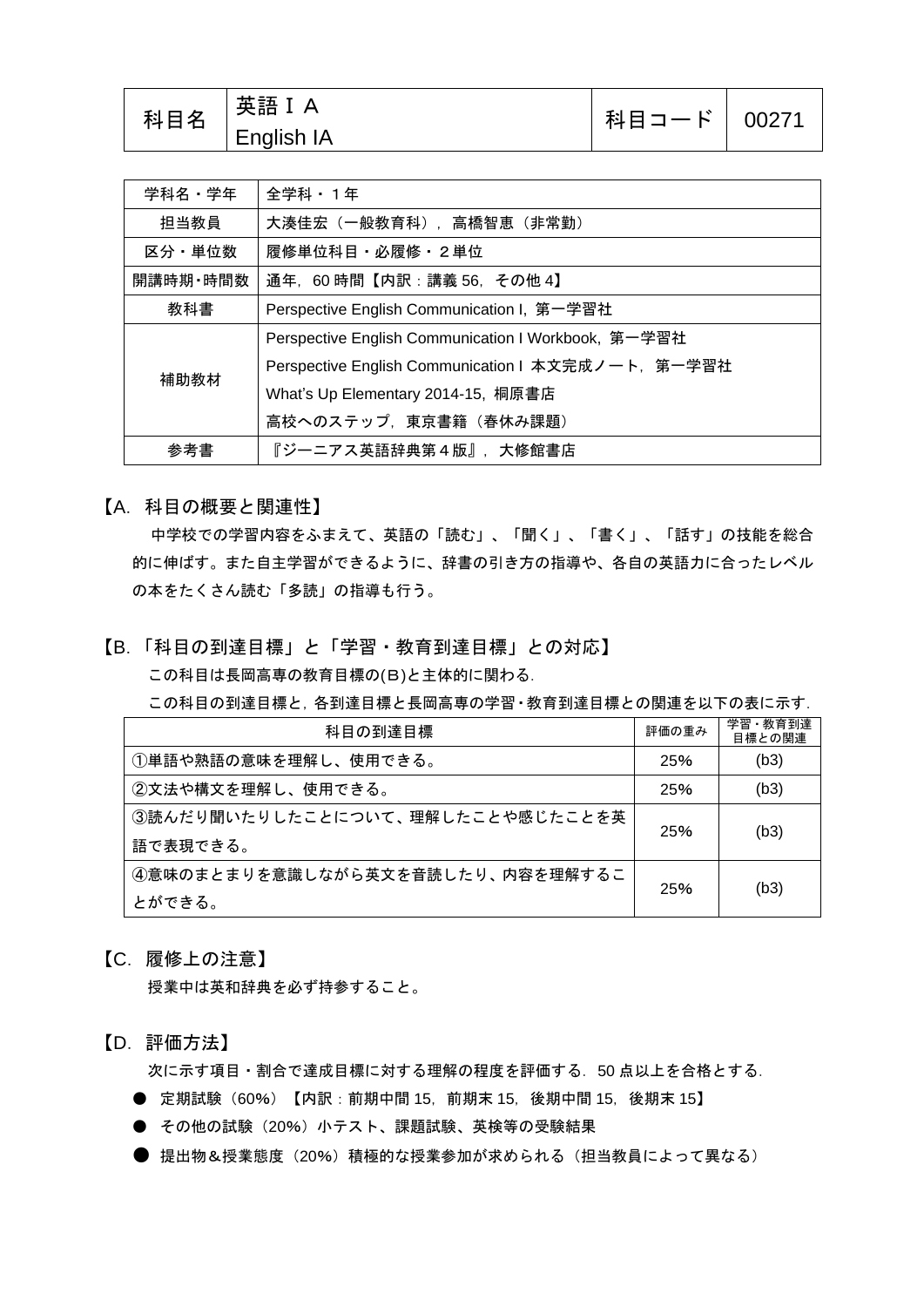| 科目名 | 「英語IA<br><b>English IA</b> | ←科目コード │ 00271 |  |
|-----|----------------------------|----------------|--|
|-----|----------------------------|----------------|--|

| 学科名・学年   | 全学科・1年                                              |  |
|----------|-----------------------------------------------------|--|
| 担当教員     | 大湊佳宏(一般教育科),高橋智恵(非常勤)                               |  |
| 区分・単位数   | 履修単位科目・必履修・2単位                                      |  |
| 開講時期・時間数 | 通年, 60時間【内訳:講義 56, その他 4】                           |  |
| 教科書      | Perspective English Communication I, 第一学習社          |  |
|          | Perspective English Communication I Workbook, 第一学習社 |  |
| 補助教材     | Perspective English Communication I 本文完成ノート, 第一学習社  |  |
|          | What's Up Elementary 2014-15, 桐原書店                  |  |
|          | 高校へのステップ、東京書籍(春休み課題)                                |  |
| 参考書      | 『ジーニアス英語辞典第4版』,大修館書店                                |  |

【A.科目の概要と関連性】

中学校での学習内容をふまえて、英語の「読む」、「聞く」、「書く」、「話す」の技能を総合 的に伸ばす。また自主学習ができるように、辞書の引き方の指導や、各自の英語力に合ったレベル の本をたくさん読む「多読」の指導も行う。

【B.「科目の到達目標」と「学習・教育到達目標」との対応】

この科目は長岡高専の教育目標の(B)と主体的に関わる.

この科目の到達目標と,各到達目標と長岡高専の学習·教育到達目標との関連を以下の表に示す.

| 科目の到達目標                                 | 評価の重み | 学習・教育到達<br>目標との関連 |
|-----------------------------------------|-------|-------------------|
| ①単語や熟語の意味を理解し、使用できる。                    | 25%   | (b3)              |
| ②文法や構文を理解し、使用できる。                       | 25%   | (b3)              |
| ③読んだり聞いたりしたことについて、理解したことや感じたことを英        | 25%   | (b3)              |
| 語で表現できる。                                |       |                   |
| ④意味のまとまりを意識しながら英文を音読したり、内容を理解するこ<br>25% |       |                   |
| とができる。                                  |       | (b3)              |

【C.履修上の注意】

授業中は英和辞典を必ず持参すること。

【D.評価方法】

次に示す項目・割合で達成目標に対する理解の程度を評価する. 50 点以上を合格とする.

- 定期試験 (60%) 【内訳:前期中間 15, 前期末 15, 後期中間 15, 後期末 15】
- その他の試験 (20%) 小テスト、課題試験、英検等の受験結果
- 提出物&授業態度(20%)積極的な授業参加が求められる(担当教員によって異なる)